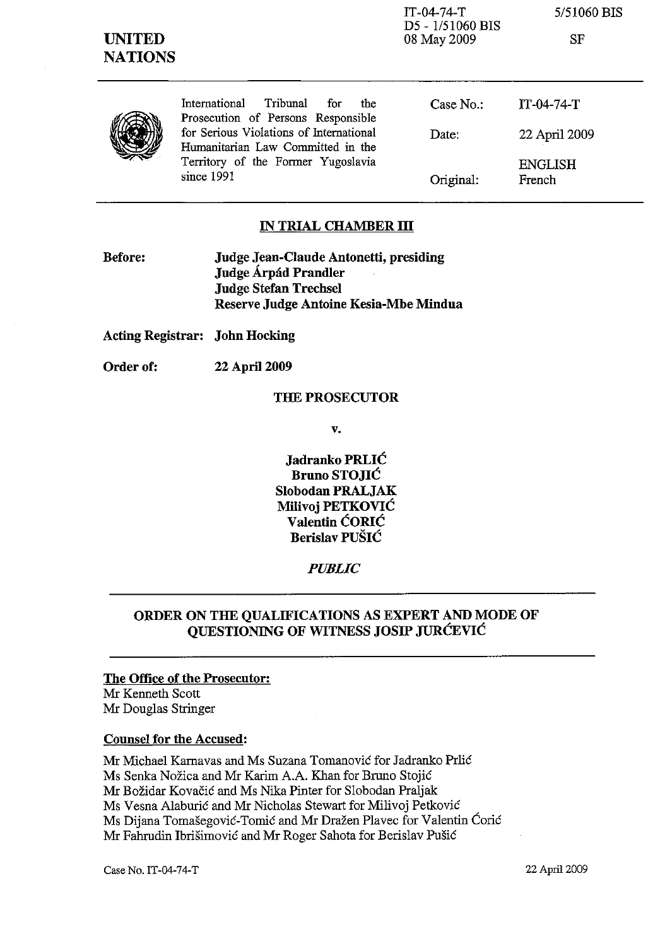| <b>UNITED</b><br><b>NATIONS</b> |                                                                               | D5 - 1/51060 BIS<br>08 May 2009 | SF                       |
|---------------------------------|-------------------------------------------------------------------------------|---------------------------------|--------------------------|
|                                 | International<br>Tribunal<br>for<br>the<br>Prosecution of Persons Responsible | Case No.                        | $IT-04-74-T$             |
|                                 | for Serious Violations of International<br>Humanitarian Law Committed in the  | Date:                           | 22 April 2009            |
|                                 | Territory of the Former Yugoslavia<br>since 1991                              | Original:                       | <b>ENGLISH</b><br>French |

IT-04-74-T

5/51060 BIS

## **IN TRIAL CHAMBER III**

| Before: | Judge Jean-Claude Antonetti, presiding |  |
|---------|----------------------------------------|--|
|         | Judge Árpád Prandler                   |  |
|         | <b>Judge Stefan Trechsel</b>           |  |
|         | Reserve Judge Antoine Kesia-Mbe Mindua |  |

**Acting Registrar: John Hocking** 

**Order of: 22 April 2009** 

### **THE PROSECUTOR**

**v.** 

**Jadranko PRLIC Bruno STOJIC Slobodan PRALJAK Milivoj PETKOVIC Valentin CORIC Berislav PUŠIĆ** 

# *PUBLIC*

# **ORDER ON THE QUALIFICATIONS AS EXPERT AND MODE OF QUESTIONING OF WITNESS JOSIP JURCEVIC**

# **The Office of the Prosecutor:**

Mr Kenneth Scott Mr Douglas Stringer

#### **Counsel for the Accused:**

Mr Michael Karnavas and Ms Suzana Tomanovic for Iadranko Prlic Ms Senka Nozica and Mr Karim A.A. Khan for Bruno Stojic Mr Bozidar Kovacic and Ms Nika Pinter for Slobodan Praljak Ms Vesna Alaburic and Mr Nicholas Stewart for Milivoj Petkovic Ms Dijana Tomasegovic-Tomic and Mr Drazen Plavec for Valentin Coric Mr Fahrudin Ibrisimovic and Mr Roger Sahota for Berislav Pusic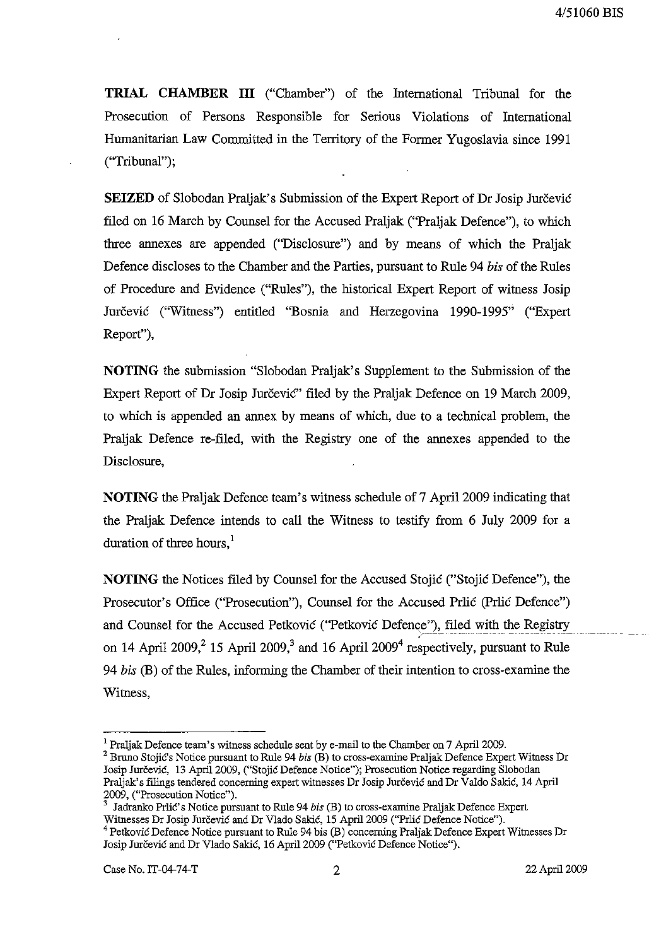**TRIAL CHAMBER ill** ("Chamber") of the International Tribunal for the Prosecution of Persons Responsible for Serious Violations of International Humanitarian Law Committed in the Territory of the Former Yugoslavia since 1991 ("Tribunal");

**SEIZED** of Slobodan Praljak's Submission of the Expert Report of Dr Josip Jurčević filed on 16 March by Counsel for the Accused Praljak ("Praljak Defence"), to which three annexes are appended ("Disclosure") and by means of which the Praljak Defence discloses to the Chamber and the Parties, pursuant to Rule 94 *bis* of the Rules of Procedure and Evidence ("Rules"), the historical Expert Report of witness Josip Jurčević ("Witness") entitled "Bosnia and Herzegovina 1990-1995" ("Expert Report"),

**NOTING** the submission "Slobodan Praljak's Supplement to the Submission of the Expert Report of Dr Josip JurceviC" filed by the Praljak Defence on 19 March 2009, to which is appended an annex by means of which, due to a technical problem, the Praljak Defence re-filed, with the Registry one of the annexes appended to the Disclosure,

**NOTING** the Praljak Defence team's witness schedule of 7 April 2009 indicating that the Praljak Defence intends to call the Witness to testify from 6 July 2009 for a duration of three hours, $<sup>1</sup>$ </sup>

**NOTING** the Notices filed by Counsel for the Accused Stojic ("Stojic Defence"), the Prosecutor's Office ("Prosecution"), Counsel for the Accused Prlic (prlic Defence") and Counsel for the Accused Petkovic ("Petkovic Defence"), filed with the Registry on 14 April 2009,  $2^{15}$  April 2009,  $^{3}$  and 16 April 2009<sup>4</sup> respectively, pursuant to Rule *94 bis* (B) of the Rules, informing the Chamber of their intention to cross-examine the Witness,

<sup>&</sup>lt;sup>1</sup> Praljak Defence team's witness schedule sent by e-mail to the Chamber on 7 April 2009.

<sup>2</sup> Bruno Stojic's Notice pursuant to Rule 94 *bis* (B) to cross-examine Praljak Defence Expert Witness Dr Josip Jurčević, 13 April 2009, ("Stojić Defence Notice"); Prosecution Notice regarding Slobodan Praljak's filings tendered concerning expert witnesses Dr Josip Jurcevic and Dr Valdo Sakic, 14 April 2009, ("Prosecution Notice").

<sup>3</sup> Jadranko PrJic's Notice pursuant to Rule 94 *bis* (B) to cross-examine Praljak Defence Expert Witnesses Dr Josip Jurčević and Dr Vlado Sakić, 15 April 2009 ("Prlić Defence Notice"). 4 Petkovic Defence Notice pursuant to Rule 94 bis (B) concerning Praljak Defence Expert Witnesses Dr Josip Jurčević and Dr Vlado Sakić, 16 April 2009 ("Petković Defence Notice").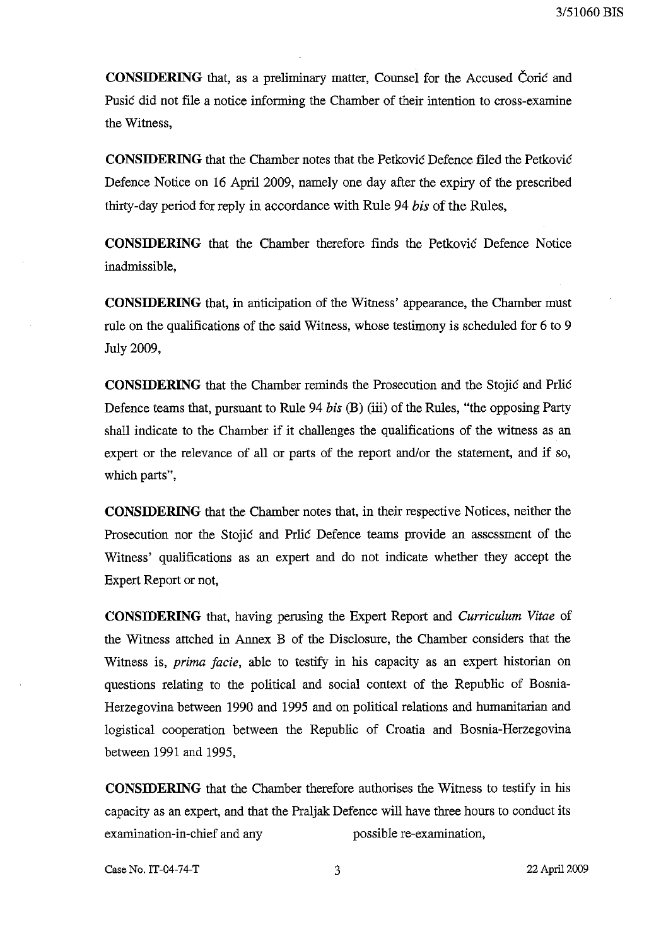**CONSIDERING** that, as a preliminary matter, Counsel for the Accused Corie and Pusic did not file a notice informing the Chamber of their intention to cross-examine the Witness,

**CONSIDERING** that the Chamber notes that the Petković Defence filed the Petković Defence Notice on 16 April 2009, namely one day after the expiry of the prescribed thirty-day period for reply in accordance with Rule 94 *his* of the Rules,

**CONSIDERING** that the Chamber therefore finds the Petkovie Defence Notice inadmissible,

**CONSIDERING** that, in anticipation of the Witness' appearance, the Chamber must rule on the qualifications of the said Witness, whose testimony is scheduled for 6 to 9 July 2009,

**CONSIDERING** that the Chamber reminds the Prosecution and the Stojie and Prlie Defence teams that, pursuant to Rule 94 *his* (B) (iii) of the Rules, "the opposing Party shall indicate to the Chamber if it challenges the qualifications of the witness as an expert or the relevance of all or parts of the report and/or the statement, and if so, which parts",

**CONSIDERING** that the Chamber notes that, in their respective Notices, neither the Prosecution nor the Stojić and Prlić Defence teams provide an assessment of the Witness' qualifications as an expert and do not indicate whether they accept the Expert Report or not,

**CONSIDERING** that, having perusing the Expert Report and *Curriculum Vitae* of the Witness attched in Annex B of the Disclosure, the Chamber considers that the Witness is, *prima facie,* able to testify in his capacity as an expert historian on questions relating to the political and social context of the Republic of Bosnia-Herzegovina between 1990 and 1995 and on political relations and humanitarian and logistical cooperation between the Republic of Croatia and Bosnia-Herzegovina between 1991 and 1995,

**CONSIDERING** that the Chamber therefore authorises the Witness to testify in his capacity as an expert, and that the Praljak Defence will have three hours to conduct its examination-in-chief and any possible re-examination,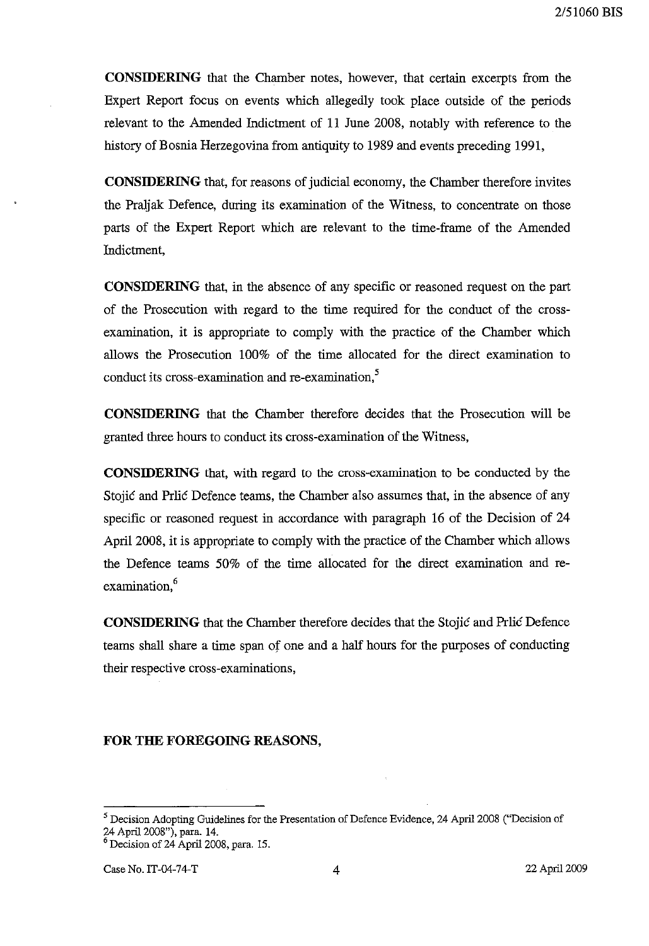**CONSIDERING** that the Chamber notes, however, that certain excerpts from the Expert Report focus on events which allegedly took place outside of the periods relevant to the Amended Indictment of 11 June 2008, notably with reference to the history of Bosnia Herzegovina from antiquity to 1989 and events preceding 1991,

**CONSIDERING** that, for reasons of judicial economy, the Chamber therefore invites the Pralj ak Defence, during its examination of the Witness, to concentrate on those parts of the Expert Report which are relevant to the time-frame of the Amended Indictment,

**CONSIDERING** that, in the absence of any specific or reasoned request on the part of the Prosecution with regard to the time required for the conduct of the crossexamination, it is appropriate to comply with the practice of the Chamber which allows the Prosecution 100% of the time allocated for the direct examination to conduct its cross-examination and re-examination,<sup>5</sup>

**CONSIDERING** that the Chamber therefore decides that the Prosecution will be granted three hours to conduct its cross-examination of the Witness,

**CONSIDERING** that, with regard to the cross-examination to be conducted by the Stojic and Priic Defence teams, the Chamber also assumes that, in the absence of any specific or reasoned request in accordance with paragraph 16 of the Decision of 24 April 2008, it is appropriate to comply with the practice of the Chamber which allows the Defence teams 50% of the time allocated for the direct examination and re examination,<sup>6</sup>

**CONSIDERING** that the Chamber therefore decides that the Stojic and Prlic Defence teams shall share a time span of one and a half hours for the purposes of conducting their respective cross-examinations,

## **FOR THE FOREGOING REASONS,**

<sup>&</sup>lt;sup>5</sup> Decision Adopting Guidelines for the Presentation of Defence Evidence, 24 April 2008 ("Decision of 24 April 2008"), para. 14.

<sup>&</sup>lt;sup>6</sup> Decision of 24 April 2008, para. 15.